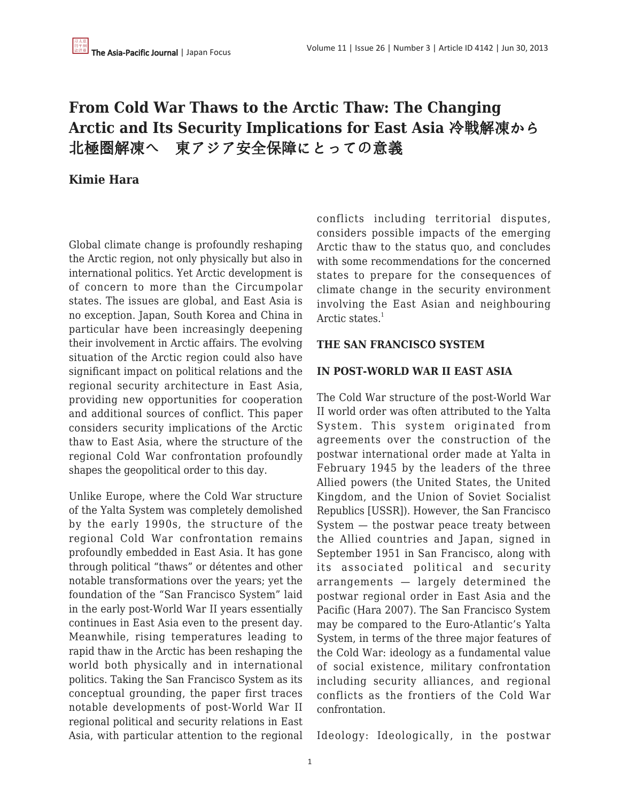# **From Cold War Thaws to the Arctic Thaw: The Changing Arctic and Its Security Implications for East Asia** 冷戦解凍から 北極圏解凍へ 東アジア安全保障にとっての意義

# **Kimie Hara**

Global climate change is profoundly reshaping the Arctic region, not only physically but also in international politics. Yet Arctic development is of concern to more than the Circumpolar states. The issues are global, and East Asia is no exception. Japan, South Korea and China in particular have been increasingly deepening their involvement in Arctic affairs. The evolving situation of the Arctic region could also have significant impact on political relations and the regional security architecture in East Asia, providing new opportunities for cooperation and additional sources of conflict. This paper considers security implications of the Arctic thaw to East Asia, where the structure of the regional Cold War confrontation profoundly shapes the geopolitical order to this day.

Unlike Europe, where the Cold War structure of the Yalta System was completely demolished by the early 1990s, the structure of the regional Cold War confrontation remains profoundly embedded in East Asia. It has gone through political "thaws" or détentes and other notable transformations over the years; yet the foundation of the "San Francisco System" laid in the early post-World War II years essentially continues in East Asia even to the present day. Meanwhile, rising temperatures leading to rapid thaw in the Arctic has been reshaping the world both physically and in international politics. Taking the San Francisco System as its conceptual grounding, the paper first traces notable developments of post-World War II regional political and security relations in East Asia, with particular attention to the regional conflicts including territorial disputes, considers possible impacts of the emerging Arctic thaw to the status quo, and concludes with some recommendations for the concerned states to prepare for the consequences of climate change in the security environment involving the East Asian and neighbouring Arctic states.<sup>1</sup>

#### **THE SAN FRANCISCO SYSTEM**

#### **IN POST-WORLD WAR II EAST ASIA**

The Cold War structure of the post-World War II world order was often attributed to the Yalta System. This system originated from agreements over the construction of the postwar international order made at Yalta in February 1945 by the leaders of the three Allied powers (the United States, the United Kingdom, and the Union of Soviet Socialist Republics [USSR]). However, the San Francisco System — the postwar peace treaty between the Allied countries and Japan, signed in September 1951 in San Francisco, along with its associated political and security arrangements — largely determined the postwar regional order in East Asia and the Pacific (Hara 2007). The San Francisco System may be compared to the Euro-Atlantic's Yalta System, in terms of the three major features of the Cold War: ideology as a fundamental value of social existence, military confrontation including security alliances, and regional conflicts as the frontiers of the Cold War confrontation.

Ideology: Ideologically, in the postwar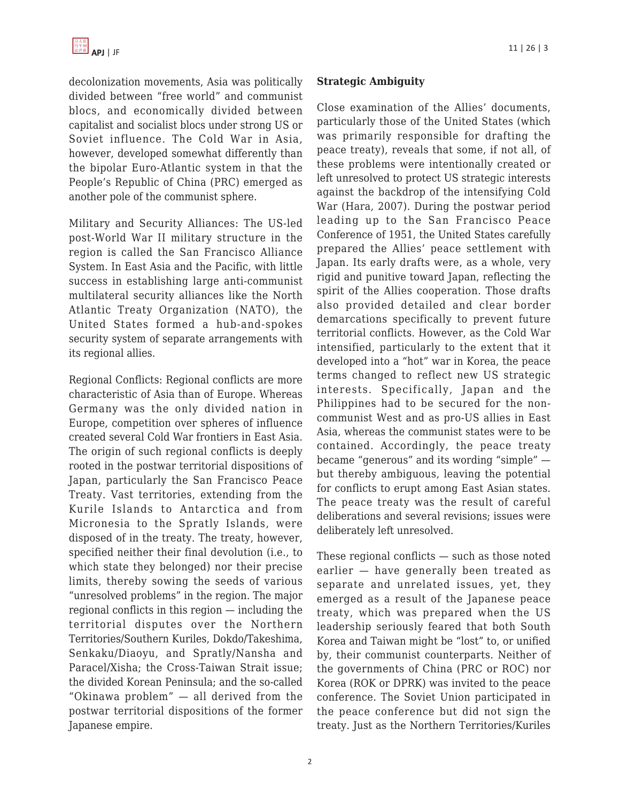decolonization movements, Asia was politically divided between "free world" and communist blocs, and economically divided between capitalist and socialist blocs under strong US or Soviet influence. The Cold War in Asia, however, developed somewhat differently than the bipolar Euro-Atlantic system in that the People's Republic of China (PRC) emerged as another pole of the communist sphere.

Military and Security Alliances: The US-led post-World War II military structure in the region is called the San Francisco Alliance System. In East Asia and the Pacific, with little success in establishing large anti-communist multilateral security alliances like the North Atlantic Treaty Organization (NATO), the United States formed a hub-and-spokes security system of separate arrangements with its regional allies.

Regional Conflicts: Regional conflicts are more characteristic of Asia than of Europe. Whereas Germany was the only divided nation in Europe, competition over spheres of influence created several Cold War frontiers in East Asia. The origin of such regional conflicts is deeply rooted in the postwar territorial dispositions of Japan, particularly the San Francisco Peace Treaty. Vast territories, extending from the Kurile Islands to Antarctica and from Micronesia to the Spratly Islands, were disposed of in the treaty. The treaty, however, specified neither their final devolution (i.e., to which state they belonged) nor their precise limits, thereby sowing the seeds of various "unresolved problems" in the region. The major regional conflicts in this region — including the territorial disputes over the Northern Territories/Southern Kuriles, Dokdo/Takeshima, Senkaku/Diaoyu, and Spratly/Nansha and Paracel/Xisha; the Cross-Taiwan Strait issue; the divided Korean Peninsula; and the so-called "Okinawa problem" — all derived from the postwar territorial dispositions of the former Japanese empire.

#### **Strategic Ambiguity**

Close examination of the Allies' documents, particularly those of the United States (which was primarily responsible for drafting the peace treaty), reveals that some, if not all, of these problems were intentionally created or left unresolved to protect US strategic interests against the backdrop of the intensifying Cold War (Hara, 2007). During the postwar period leading up to the San Francisco Peace Conference of 1951, the United States carefully prepared the Allies' peace settlement with Japan. Its early drafts were, as a whole, very rigid and punitive toward Japan, reflecting the spirit of the Allies cooperation. Those drafts also provided detailed and clear border demarcations specifically to prevent future territorial conflicts. However, as the Cold War intensified, particularly to the extent that it developed into a "hot" war in Korea, the peace terms changed to reflect new US strategic interests. Specifically, Japan and the Philippines had to be secured for the noncommunist West and as pro-US allies in East Asia, whereas the communist states were to be contained. Accordingly, the peace treaty became "generous" and its wording "simple" but thereby ambiguous, leaving the potential for conflicts to erupt among East Asian states. The peace treaty was the result of careful deliberations and several revisions; issues were deliberately left unresolved.

These regional conflicts — such as those noted earlier — have generally been treated as separate and unrelated issues, yet, they emerged as a result of the Japanese peace treaty, which was prepared when the US leadership seriously feared that both South Korea and Taiwan might be "lost" to, or unified by, their communist counterparts. Neither of the governments of China (PRC or ROC) nor Korea (ROK or DPRK) was invited to the peace conference. The Soviet Union participated in the peace conference but did not sign the treaty. Just as the Northern Territories/Kuriles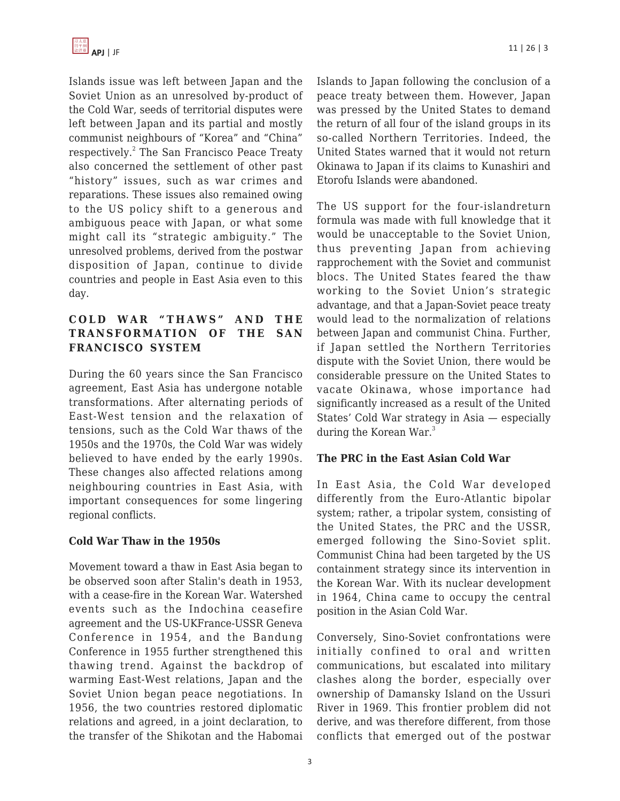Islands issue was left between Japan and the Soviet Union as an unresolved by-product of the Cold War, seeds of territorial disputes were left between Japan and its partial and mostly communist neighbours of "Korea" and "China" respectively.<sup>2</sup> The San Francisco Peace Treaty also concerned the settlement of other past "history" issues, such as war crimes and reparations. These issues also remained owing to the US policy shift to a generous and ambiguous peace with Japan, or what some might call its "strategic ambiguity." The unresolved problems, derived from the postwar disposition of Japan, continue to divide countries and people in East Asia even to this day.

# **COLD WAR "THAWS" AND THE TRANSFORMATION OF THE SAN FRANCISCO SYSTEM**

During the 60 years since the San Francisco agreement, East Asia has undergone notable transformations. After alternating periods of East-West tension and the relaxation of tensions, such as the Cold War thaws of the 1950s and the 1970s, the Cold War was widely believed to have ended by the early 1990s. These changes also affected relations among neighbouring countries in East Asia, with important consequences for some lingering regional conflicts.

## **Cold War Thaw in the 1950s**

Movement toward a thaw in East Asia began to be observed soon after Stalin's death in 1953, with a cease-fire in the Korean War. Watershed events such as the Indochina ceasefire agreement and the US-UKFrance-USSR Geneva Conference in 1954, and the Bandung Conference in 1955 further strengthened this thawing trend. Against the backdrop of warming East-West relations, Japan and the Soviet Union began peace negotiations. In 1956, the two countries restored diplomatic relations and agreed, in a joint declaration, to the transfer of the Shikotan and the Habomai Islands to Japan following the conclusion of a peace treaty between them. However, Japan was pressed by the United States to demand the return of all four of the island groups in its so-called Northern Territories. Indeed, the United States warned that it would not return Okinawa to Japan if its claims to Kunashiri and Etorofu Islands were abandoned.

The US support for the four-islandreturn formula was made with full knowledge that it would be unacceptable to the Soviet Union, thus preventing Japan from achieving rapprochement with the Soviet and communist blocs. The United States feared the thaw working to the Soviet Union's strategic advantage, and that a Japan-Soviet peace treaty would lead to the normalization of relations between Japan and communist China. Further, if Japan settled the Northern Territories dispute with the Soviet Union, there would be considerable pressure on the United States to vacate Okinawa, whose importance had significantly increased as a result of the United States' Cold War strategy in Asia — especially during the Korean War.<sup>3</sup>

## **The PRC in the East Asian Cold War**

In East Asia, the Cold War developed differently from the Euro-Atlantic bipolar system; rather, a tripolar system, consisting of the United States, the PRC and the USSR, emerged following the Sino-Soviet split. Communist China had been targeted by the US containment strategy since its intervention in the Korean War. With its nuclear development in 1964, China came to occupy the central position in the Asian Cold War.

Conversely, Sino-Soviet confrontations were initially confined to oral and written communications, but escalated into military clashes along the border, especially over ownership of Damansky Island on the Ussuri River in 1969. This frontier problem did not derive, and was therefore different, from those conflicts that emerged out of the postwar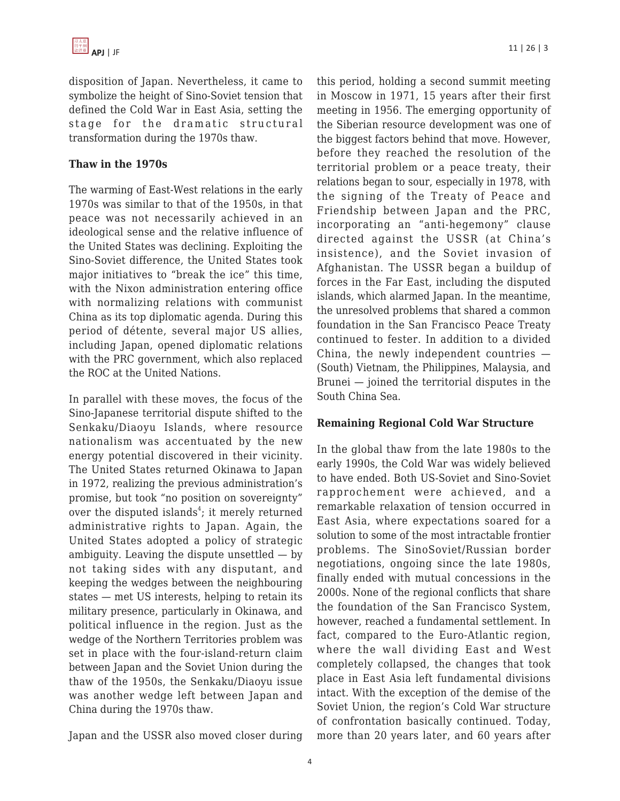disposition of Japan. Nevertheless, it came to symbolize the height of Sino-Soviet tension that defined the Cold War in East Asia, setting the stage for the dramatic structural transformation during the 1970s thaw.

## **Thaw in the 1970s**

The warming of East-West relations in the early 1970s was similar to that of the 1950s, in that peace was not necessarily achieved in an ideological sense and the relative influence of the United States was declining. Exploiting the Sino-Soviet difference, the United States took major initiatives to "break the ice" this time, with the Nixon administration entering office with normalizing relations with communist China as its top diplomatic agenda. During this period of détente, several major US allies, including Japan, opened diplomatic relations with the PRC government, which also replaced the ROC at the United Nations.

In parallel with these moves, the focus of the Sino-Japanese territorial dispute shifted to the Senkaku/Diaoyu Islands, where resource nationalism was accentuated by the new energy potential discovered in their vicinity. The United States returned Okinawa to Japan in 1972, realizing the previous administration's promise, but took "no position on sovereignty" over the disputed islands<sup>4</sup>; it merely returned administrative rights to Japan. Again, the United States adopted a policy of strategic ambiguity. Leaving the dispute unsettled  $-$  by not taking sides with any disputant, and keeping the wedges between the neighbouring states — met US interests, helping to retain its military presence, particularly in Okinawa, and political influence in the region. Just as the wedge of the Northern Territories problem was set in place with the four-island-return claim between Japan and the Soviet Union during the thaw of the 1950s, the Senkaku/Diaoyu issue was another wedge left between Japan and China during the 1970s thaw.

Japan and the USSR also moved closer during

this period, holding a second summit meeting in Moscow in 1971, 15 years after their first meeting in 1956. The emerging opportunity of the Siberian resource development was one of the biggest factors behind that move. However, before they reached the resolution of the territorial problem or a peace treaty, their relations began to sour, especially in 1978, with the signing of the Treaty of Peace and Friendship between Japan and the PRC, incorporating an "anti-hegemony" clause directed against the USSR (at China's insistence), and the Soviet invasion of Afghanistan. The USSR began a buildup of forces in the Far East, including the disputed islands, which alarmed Japan. In the meantime, the unresolved problems that shared a common foundation in the San Francisco Peace Treaty continued to fester. In addition to a divided China, the newly independent countries — (South) Vietnam, the Philippines, Malaysia, and Brunei — joined the territorial disputes in the South China Sea.

## **Remaining Regional Cold War Structure**

In the global thaw from the late 1980s to the early 1990s, the Cold War was widely believed to have ended. Both US-Soviet and Sino-Soviet rapprochement were achieved, and a remarkable relaxation of tension occurred in East Asia, where expectations soared for a solution to some of the most intractable frontier problems. The SinoSoviet/Russian border negotiations, ongoing since the late 1980s, finally ended with mutual concessions in the 2000s. None of the regional conflicts that share the foundation of the San Francisco System, however, reached a fundamental settlement. In fact, compared to the Euro-Atlantic region, where the wall dividing East and West completely collapsed, the changes that took place in East Asia left fundamental divisions intact. With the exception of the demise of the Soviet Union, the region's Cold War structure of confrontation basically continued. Today, more than 20 years later, and 60 years after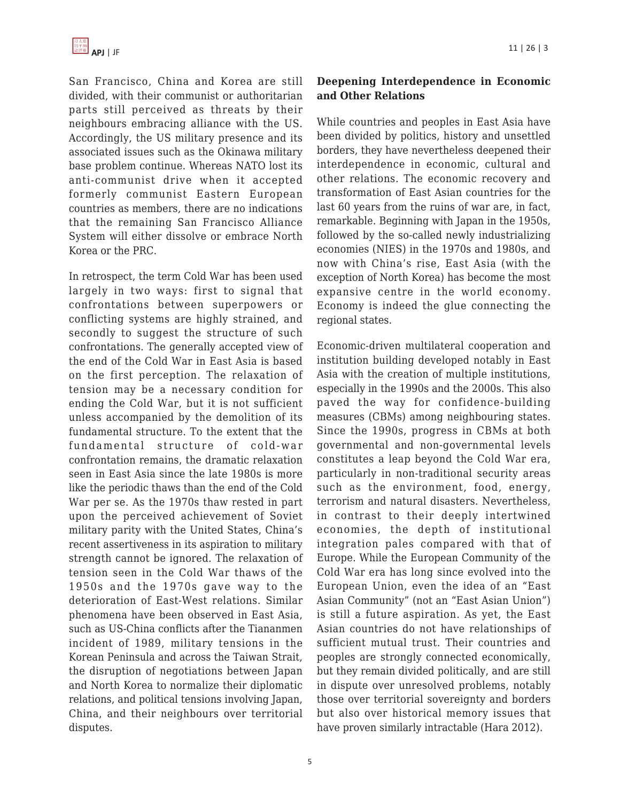

San Francisco, China and Korea are still divided, with their communist or authoritarian parts still perceived as threats by their neighbours embracing alliance with the US. Accordingly, the US military presence and its associated issues such as the Okinawa military base problem continue. Whereas NATO lost its anti-communist drive when it accepted formerly communist Eastern European countries as members, there are no indications that the remaining San Francisco Alliance System will either dissolve or embrace North Korea or the PRC.

In retrospect, the term Cold War has been used largely in two ways: first to signal that confrontations between superpowers or conflicting systems are highly strained, and secondly to suggest the structure of such confrontations. The generally accepted view of the end of the Cold War in East Asia is based on the first perception. The relaxation of tension may be a necessary condition for ending the Cold War, but it is not sufficient unless accompanied by the demolition of its fundamental structure. To the extent that the fundamental structure of cold-war confrontation remains, the dramatic relaxation seen in East Asia since the late 1980s is more like the periodic thaws than the end of the Cold War per se. As the 1970s thaw rested in part upon the perceived achievement of Soviet military parity with the United States, China's recent assertiveness in its aspiration to military strength cannot be ignored. The relaxation of tension seen in the Cold War thaws of the 1950s and the 1970s gave way to the deterioration of East-West relations. Similar phenomena have been observed in East Asia, such as US-China conflicts after the Tiananmen incident of 1989, military tensions in the Korean Peninsula and across the Taiwan Strait, the disruption of negotiations between Japan and North Korea to normalize their diplomatic relations, and political tensions involving Japan, China, and their neighbours over territorial disputes.

#### **Deepening Interdependence in Economic and Other Relations**

While countries and peoples in East Asia have been divided by politics, history and unsettled borders, they have nevertheless deepened their interdependence in economic, cultural and other relations. The economic recovery and transformation of East Asian countries for the last 60 years from the ruins of war are, in fact, remarkable. Beginning with Japan in the 1950s, followed by the so-called newly industrializing economies (NIES) in the 1970s and 1980s, and now with China's rise, East Asia (with the exception of North Korea) has become the most expansive centre in the world economy. Economy is indeed the glue connecting the regional states.

Economic-driven multilateral cooperation and institution building developed notably in East Asia with the creation of multiple institutions, especially in the 1990s and the 2000s. This also paved the way for confidence-building measures (CBMs) among neighbouring states. Since the 1990s, progress in CBMs at both governmental and non-governmental levels constitutes a leap beyond the Cold War era, particularly in non-traditional security areas such as the environment, food, energy, terrorism and natural disasters. Nevertheless, in contrast to their deeply intertwined economies, the depth of institutional integration pales compared with that of Europe. While the European Community of the Cold War era has long since evolved into the European Union, even the idea of an "East Asian Community" (not an "East Asian Union") is still a future aspiration. As yet, the East Asian countries do not have relationships of sufficient mutual trust. Their countries and peoples are strongly connected economically, but they remain divided politically, and are still in dispute over unresolved problems, notably those over territorial sovereignty and borders but also over historical memory issues that have proven similarly intractable (Hara 2012).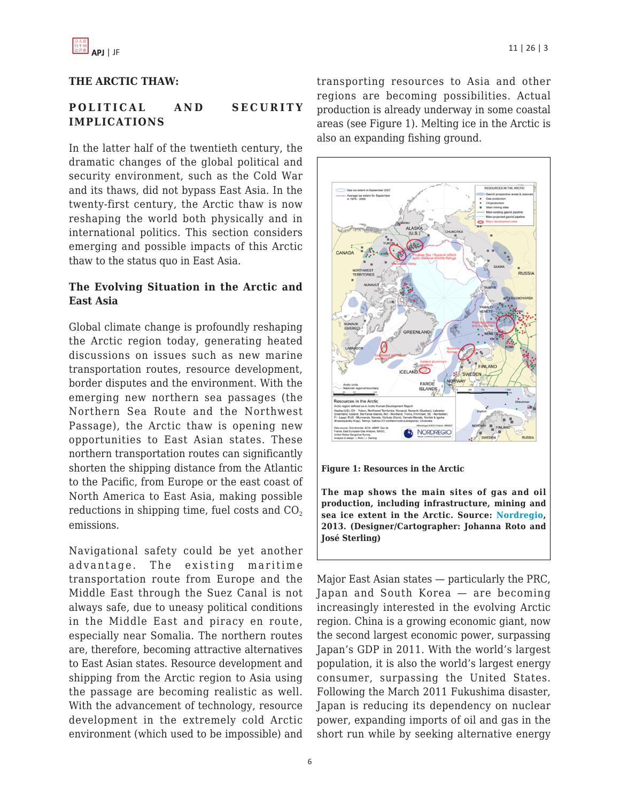## **THE ARCTIC THAW:**

## **POLITICAL AND SECURITY IMPLICATIONS**

In the latter half of the twentieth century, the dramatic changes of the global political and security environment, such as the Cold War and its thaws, did not bypass East Asia. In the twenty-first century, the Arctic thaw is now reshaping the world both physically and in international politics. This section considers emerging and possible impacts of this Arctic thaw to the status quo in East Asia.

#### **The Evolving Situation in the Arctic and East Asia**

Global climate change is profoundly reshaping the Arctic region today, generating heated discussions on issues such as new marine transportation routes, resource development, border disputes and the environment. With the emerging new northern sea passages (the Northern Sea Route and the Northwest Passage), the Arctic thaw is opening new opportunities to East Asian states. These northern transportation routes can significantly shorten the shipping distance from the Atlantic to the Pacific, from Europe or the east coast of North America to East Asia, making possible reductions in shipping time, fuel costs and  $CO<sub>2</sub>$ emissions.

Navigational safety could be yet another advantage. The existing maritime transportation route from Europe and the Middle East through the Suez Canal is not always safe, due to uneasy political conditions in the Middle East and piracy en route, especially near Somalia. The northern routes are, therefore, becoming attractive alternatives to East Asian states. Resource development and shipping from the Arctic region to Asia using the passage are becoming realistic as well. With the advancement of technology, resource development in the extremely cold Arctic environment (which used to be impossible) and transporting resources to Asia and other regions are becoming possibilities. Actual production is already underway in some coastal areas (see Figure 1). Melting ice in the Arctic is also an expanding fishing ground.



**Figure 1: Resources in the Arctic**

**The map shows the main sites of gas and oil production, including infrastructure, mining and sea ice extent in the Arctic. Source: [Nordregio,](http://www.nordregio.se/Maps--Graphs/05-Environment-and-energy/Resources-in-the-Arctic/) 2013. (Designer/Cartographer: Johanna Roto and José Sterling)**

Major East Asian states — particularly the PRC, Japan and South Korea — are becoming increasingly interested in the evolving Arctic region. China is a growing economic giant, now the second largest economic power, surpassing Japan's GDP in 2011. With the world's largest population, it is also the world's largest energy consumer, surpassing the United States. Following the March 2011 Fukushima disaster, Japan is reducing its dependency on nuclear power, expanding imports of oil and gas in the short run while by seeking alternative energy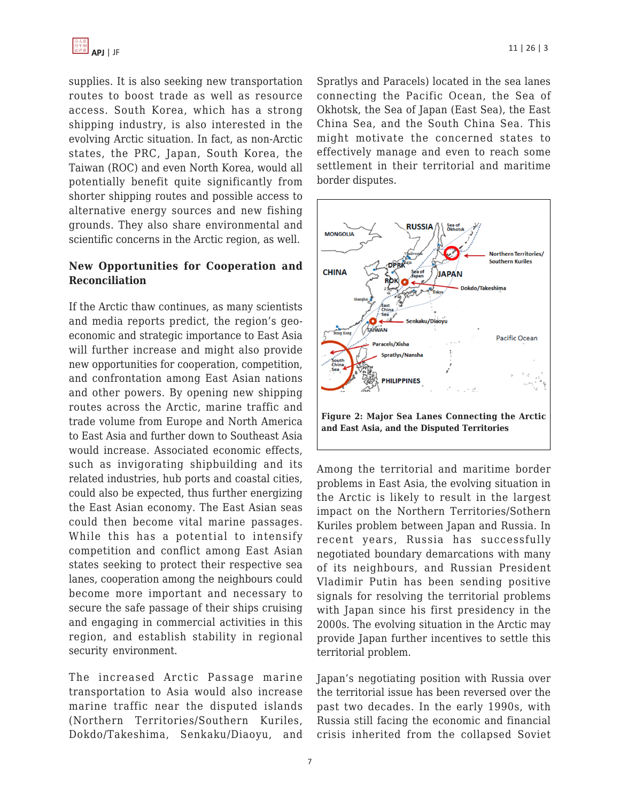supplies. It is also seeking new transportation routes to boost trade as well as resource access. South Korea, which has a strong shipping industry, is also interested in the evolving Arctic situation. In fact, as non-Arctic states, the PRC, Japan, South Korea, the Taiwan (ROC) and even North Korea, would all potentially benefit quite significantly from shorter shipping routes and possible access to alternative energy sources and new fishing grounds. They also share environmental and scientific concerns in the Arctic region, as well.

### **New Opportunities for Cooperation and Reconciliation**

If the Arctic thaw continues, as many scientists and media reports predict, the region's geoeconomic and strategic importance to East Asia will further increase and might also provide new opportunities for cooperation, competition, and confrontation among East Asian nations and other powers. By opening new shipping routes across the Arctic, marine traffic and trade volume from Europe and North America to East Asia and further down to Southeast Asia would increase. Associated economic effects, such as invigorating shipbuilding and its related industries, hub ports and coastal cities, could also be expected, thus further energizing the East Asian economy. The East Asian seas could then become vital marine passages. While this has a potential to intensify competition and conflict among East Asian states seeking to protect their respective sea lanes, cooperation among the neighbours could become more important and necessary to secure the safe passage of their ships cruising and engaging in commercial activities in this region, and establish stability in regional security environment.

The increased Arctic Passage marine transportation to Asia would also increase marine traffic near the disputed islands (Northern Territories/Southern Kuriles, Dokdo/Takeshima, Senkaku/Diaoyu, and

APJ | JF 11 | 26 | 3

Spratlys and Paracels) located in the sea lanes connecting the Pacific Ocean, the Sea of Okhotsk, the Sea of Japan (East Sea), the East China Sea, and the South China Sea. This might motivate the concerned states to effectively manage and even to reach some settlement in their territorial and maritime border disputes.



Among the territorial and maritime border problems in East Asia, the evolving situation in the Arctic is likely to result in the largest impact on the Northern Territories/Sothern Kuriles problem between Japan and Russia. In recent years, Russia has successfully negotiated boundary demarcations with many of its neighbours, and Russian President Vladimir Putin has been sending positive signals for resolving the territorial problems with Japan since his first presidency in the 2000s. The evolving situation in the Arctic may provide Japan further incentives to settle this territorial problem.

Japan's negotiating position with Russia over the territorial issue has been reversed over the past two decades. In the early 1990s, with Russia still facing the economic and financial crisis inherited from the collapsed Soviet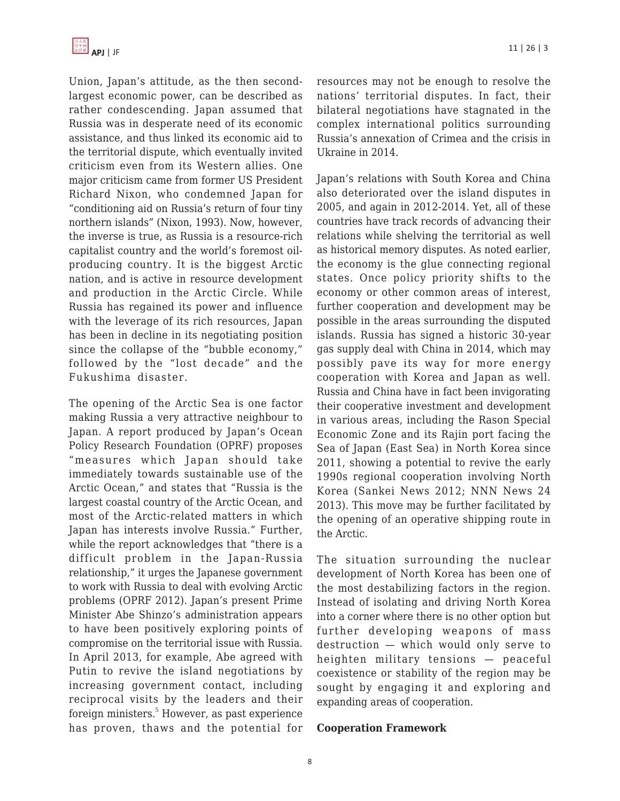Union, Japan's attitude, as the then secondlargest economic power, can be described as rather condescending. Japan assumed that Russia was in desperate need of its economic assistance, and thus linked its economic aid to the territorial dispute, which eventually invited criticism even from its Western allies. One major criticism came from former US President Richard Nixon, who condemned Japan for "conditioning aid on Russia's return of four tiny northern islands" (Nixon, 1993). Now, however, the inverse is true, as Russia is a resource-rich capitalist country and the world's foremost oilproducing country. It is the biggest Arctic nation, and is active in resource development and production in the Arctic Circle. While Russia has regained its power and influence with the leverage of its rich resources, Japan has been in decline in its negotiating position since the collapse of the "bubble economy," followed by the "lost decade" and the Fukushima disaster.

The opening of the Arctic Sea is one factor making Russia a very attractive neighbour to Japan. A report produced by Japan's Ocean Policy Research Foundation (OPRF) proposes "measures which Japan should take immediately towards sustainable use of the Arctic Ocean," and states that "Russia is the largest coastal country of the Arctic Ocean, and most of the Arctic-related matters in which Japan has interests involve Russia." Further, while the report acknowledges that "there is a difficult problem in the Japan-Russia relationship," it urges the Japanese government to work with Russia to deal with evolving Arctic problems (OPRF 2012). Japan's present Prime Minister Abe Shinzo's administration appears to have been positively exploring points of compromise on the territorial issue with Russia. In April 2013, for example, Abe agreed with Putin to revive the island negotiations by increasing government contact, including reciprocal visits by the leaders and their foreign ministers.<sup>5</sup> However, as past experience has proven, thaws and the potential for resources may not be enough to resolve the nations' territorial disputes. In fact, their bilateral negotiations have stagnated in the complex international politics surrounding Russia's annexation of Crimea and the crisis in Ukraine in 2014.

Japan's relations with South Korea and China also deteriorated over the island disputes in 2005, and again in 2012-2014. Yet, all of these countries have track records of advancing their relations while shelving the territorial as well as historical memory disputes. As noted earlier, the economy is the glue connecting regional states. Once policy priority shifts to the economy or other common areas of interest, further cooperation and development may be possible in the areas surrounding the disputed islands. Russia has signed a historic 30-year gas supply deal with China in 2014, which may possibly pave its way for more energy cooperation with Korea and Japan as well. Russia and China have in fact been invigorating their cooperative investment and development in various areas, including the Rason Special Economic Zone and its Rajin port facing the Sea of Japan (East Sea) in North Korea since 2011, showing a potential to revive the early 1990s regional cooperation involving North Korea (Sankei News 2012; NNN News 24 2013). This move may be further facilitated by the opening of an operative shipping route in the Arctic.

The situation surrounding the nuclear development of North Korea has been one of the most destabilizing factors in the region. Instead of isolating and driving North Korea into a corner where there is no other option but further developing weapons of mass destruction — which would only serve to heighten military tensions — peaceful coexistence or stability of the region may be sought by engaging it and exploring and expanding areas of cooperation.

#### **Cooperation Framework**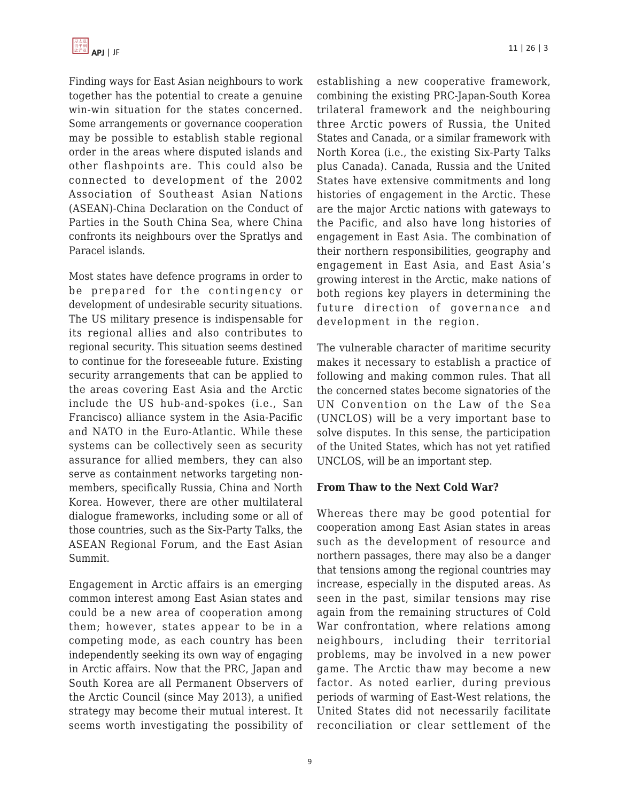

Finding ways for East Asian neighbours to work together has the potential to create a genuine win-win situation for the states concerned. Some arrangements or governance cooperation may be possible to establish stable regional order in the areas where disputed islands and other flashpoints are. This could also be connected to development of the 2002 Association of Southeast Asian Nations (ASEAN)-China Declaration on the Conduct of Parties in the South China Sea, where China confronts its neighbours over the Spratlys and Paracel islands.

Most states have defence programs in order to be prepared for the contingency or development of undesirable security situations. The US military presence is indispensable for its regional allies and also contributes to regional security. This situation seems destined to continue for the foreseeable future. Existing security arrangements that can be applied to the areas covering East Asia and the Arctic include the US hub-and-spokes (i.e., San Francisco) alliance system in the Asia-Pacific and NATO in the Euro-Atlantic. While these systems can be collectively seen as security assurance for allied members, they can also serve as containment networks targeting nonmembers, specifically Russia, China and North Korea. However, there are other multilateral dialogue frameworks, including some or all of those countries, such as the Six-Party Talks, the ASEAN Regional Forum, and the East Asian Summit.

Engagement in Arctic affairs is an emerging common interest among East Asian states and could be a new area of cooperation among them; however, states appear to be in a competing mode, as each country has been independently seeking its own way of engaging in Arctic affairs. Now that the PRC, Japan and South Korea are all Permanent Observers of the Arctic Council (since May 2013), a unified strategy may become their mutual interest. It seems worth investigating the possibility of establishing a new cooperative framework, combining the existing PRC-Japan-South Korea trilateral framework and the neighbouring three Arctic powers of Russia, the United States and Canada, or a similar framework with North Korea (i.e., the existing Six-Party Talks plus Canada). Canada, Russia and the United States have extensive commitments and long histories of engagement in the Arctic. These are the major Arctic nations with gateways to the Pacific, and also have long histories of engagement in East Asia. The combination of their northern responsibilities, geography and engagement in East Asia, and East Asia's growing interest in the Arctic, make nations of both regions key players in determining the future direction of governance and development in the region.

The vulnerable character of maritime security makes it necessary to establish a practice of following and making common rules. That all the concerned states become signatories of the UN Convention on the Law of the Sea (UNCLOS) will be a very important base to solve disputes. In this sense, the participation of the United States, which has not yet ratified UNCLOS, will be an important step.

#### **From Thaw to the Next Cold War?**

Whereas there may be good potential for cooperation among East Asian states in areas such as the development of resource and northern passages, there may also be a danger that tensions among the regional countries may increase, especially in the disputed areas. As seen in the past, similar tensions may rise again from the remaining structures of Cold War confrontation, where relations among neighbours, including their territorial problems, may be involved in a new power game. The Arctic thaw may become a new factor. As noted earlier, during previous periods of warming of East-West relations, the United States did not necessarily facilitate reconciliation or clear settlement of the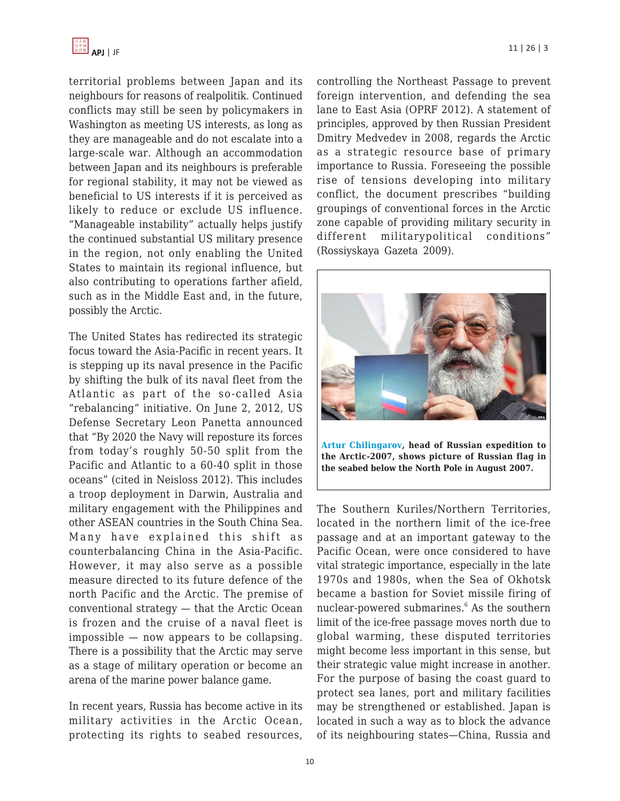

territorial problems between Japan and its neighbours for reasons of realpolitik. Continued conflicts may still be seen by policymakers in Washington as meeting US interests, as long as they are manageable and do not escalate into a large-scale war. Although an accommodation between Japan and its neighbours is preferable for regional stability, it may not be viewed as beneficial to US interests if it is perceived as likely to reduce or exclude US influence. "Manageable instability" actually helps justify the continued substantial US military presence in the region, not only enabling the United States to maintain its regional influence, but also contributing to operations farther afield, such as in the Middle East and, in the future, possibly the Arctic.

The United States has redirected its strategic focus toward the Asia-Pacific in recent years. It is stepping up its naval presence in the Pacific by shifting the bulk of its naval fleet from the Atlantic as part of the so-called Asia "rebalancing" initiative. On June 2, 2012, US Defense Secretary Leon Panetta announced that "By 2020 the Navy will reposture its forces from today's roughly 50-50 split from the Pacific and Atlantic to a 60-40 split in those oceans" (cited in Neisloss 2012). This includes a troop deployment in Darwin, Australia and military engagement with the Philippines and other ASEAN countries in the South China Sea. Many have explained this shift as counterbalancing China in the Asia-Pacific. However, it may also serve as a possible measure directed to its future defence of the north Pacific and the Arctic. The premise of conventional strategy — that the Arctic Ocean is frozen and the cruise of a naval fleet is impossible — now appears to be collapsing. There is a possibility that the Arctic may serve as a stage of military operation or become an arena of the marine power balance game.

In recent years, Russia has become active in its military activities in the Arctic Ocean, protecting its rights to seabed resources,

controlling the Northeast Passage to prevent foreign intervention, and defending the sea lane to East Asia (OPRF 2012). A statement of principles, approved by then Russian President Dmitry Medvedev in 2008, regards the Arctic as a strategic resource base of primary importance to Russia. Foreseeing the possible rise of tensions developing into military conflict, the document prescribes "building groupings of conventional forces in the Arctic zone capable of providing military security in different militarypolitical conditions" (Rossiyskaya Gazeta 2009).



The Southern Kuriles/Northern Territories, located in the northern limit of the ice-free passage and at an important gateway to the Pacific Ocean, were once considered to have vital strategic importance, especially in the late 1970s and 1980s, when the Sea of Okhotsk became a bastion for Soviet missile firing of nuclear-powered submarines.<sup>6</sup> As the southern limit of the ice-free passage moves north due to global warming, these disputed territories might become less important in this sense, but their strategic value might increase in another. For the purpose of basing the coast guard to protect sea lanes, port and military facilities may be strengthened or established. Japan is located in such a way as to block the advance of its neighbouring states—China, Russia and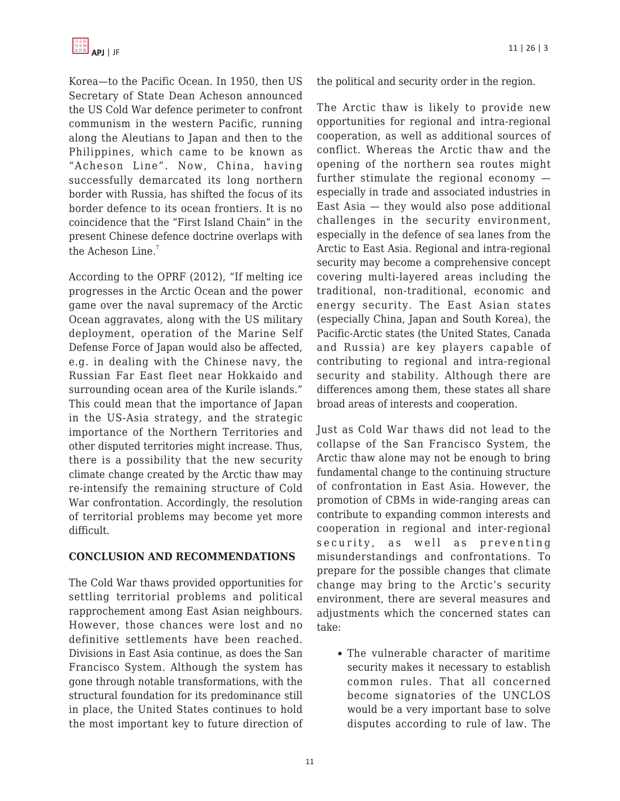Korea—to the Pacific Ocean. In 1950, then US Secretary of State Dean Acheson announced the US Cold War defence perimeter to confront communism in the western Pacific, running along the Aleutians to Japan and then to the Philippines, which came to be known as "Acheson Line". Now, China, having successfully demarcated its long northern border with Russia, has shifted the focus of its border defence to its ocean frontiers. It is no coincidence that the "First Island Chain" in the present Chinese defence doctrine overlaps with the Acheson Line.<sup>7</sup>

According to the OPRF (2012), "If melting ice progresses in the Arctic Ocean and the power game over the naval supremacy of the Arctic Ocean aggravates, along with the US military deployment, operation of the Marine Self Defense Force of Japan would also be affected, e.g. in dealing with the Chinese navy, the Russian Far East fleet near Hokkaido and surrounding ocean area of the Kurile islands." This could mean that the importance of Japan in the US-Asia strategy, and the strategic importance of the Northern Territories and other disputed territories might increase. Thus, there is a possibility that the new security climate change created by the Arctic thaw may re-intensify the remaining structure of Cold War confrontation. Accordingly, the resolution of territorial problems may become yet more difficult.

## **CONCLUSION AND RECOMMENDATIONS**

The Cold War thaws provided opportunities for settling territorial problems and political rapprochement among East Asian neighbours. However, those chances were lost and no definitive settlements have been reached. Divisions in East Asia continue, as does the San Francisco System. Although the system has gone through notable transformations, with the structural foundation for its predominance still in place, the United States continues to hold the most important key to future direction of the political and security order in the region.

The Arctic thaw is likely to provide new opportunities for regional and intra-regional cooperation, as well as additional sources of conflict. Whereas the Arctic thaw and the opening of the northern sea routes might further stimulate the regional economy especially in trade and associated industries in East Asia — they would also pose additional challenges in the security environment, especially in the defence of sea lanes from the Arctic to East Asia. Regional and intra-regional security may become a comprehensive concept covering multi-layered areas including the traditional, non-traditional, economic and energy security. The East Asian states (especially China, Japan and South Korea), the Pacific-Arctic states (the United States, Canada and Russia) are key players capable of contributing to regional and intra-regional security and stability. Although there are differences among them, these states all share broad areas of interests and cooperation.

Just as Cold War thaws did not lead to the collapse of the San Francisco System, the Arctic thaw alone may not be enough to bring fundamental change to the continuing structure of confrontation in East Asia. However, the promotion of CBMs in wide-ranging areas can contribute to expanding common interests and cooperation in regional and inter-regional security, as well as preventing misunderstandings and confrontations. To prepare for the possible changes that climate change may bring to the Arctic's security environment, there are several measures and adjustments which the concerned states can take:

The vulnerable character of maritime security makes it necessary to establish common rules. That all concerned become signatories of the UNCLOS would be a very important base to solve disputes according to rule of law. The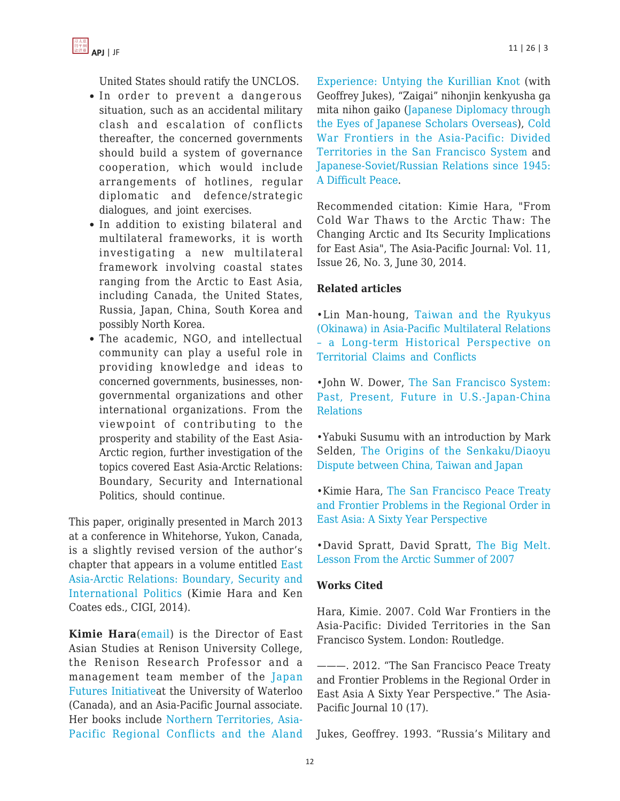

United States should ratify the UNCLOS.

- In order to prevent a dangerous situation, such as an accidental military clash and escalation of conflicts thereafter, the concerned governments should build a system of governance cooperation, which would include arrangements of hotlines, regular diplomatic and defence/strategic dialogues, and joint exercises.
- In addition to existing bilateral and multilateral frameworks, it is worth investigating a new multilateral framework involving coastal states ranging from the Arctic to East Asia, including Canada, the United States, Russia, Japan, China, South Korea and possibly North Korea.
- The academic, NGO, and intellectual community can play a useful role in providing knowledge and ideas to concerned governments, businesses, nongovernmental organizations and other international organizations. From the viewpoint of contributing to the prosperity and stability of the East Asia-Arctic region, further investigation of the topics covered East Asia-Arctic Relations: Boundary, Security and International Politics, should continue.

This paper, originally presented in March 2013 at a conference in Whitehorse, Yukon, Canada, is a slightly revised version of the author's chapter that appears in a volume entitled [East](http://www.cigionline.org/publications/east-asia-arctic-relations-boundary-security-and-international-politics) [Asia-Arctic Relations: Boundary, Security and](http://www.cigionline.org/publications/east-asia-arctic-relations-boundary-security-and-international-politics) [International Politics](http://www.cigionline.org/publications/east-asia-arctic-relations-boundary-security-and-international-politics) (Kimie Hara and Ken Coates eds., CIGI, 2014).

**Kimie Hara**([email\)](https://apjjf.org/mailto:khara@uwaterloo.ca) is the Director of East Asian Studies at Renison University College, the Renison Research Professor and a management team member of the [Japan](http://jfi.uwaterloo.ca/) [Futures Initiative](http://jfi.uwaterloo.ca/)at the University of Waterloo (Canada), and an Asia-Pacific Journal associate. Her books include [Northern Territories, Asia-](http://www.routledge.com/books/details/9780415666046/)[Pacific Regional Conflicts and the Aland](http://www.routledge.com/books/details/9780415666046/) [Experience: Untying the Kurillian Knot](http://www.routledge.com/books/details/9780415666046/) (with Geoffrey Jukes), "Zaigai" nihonjin kenkyusha ga mita nihon gaiko ([Japanese Diplomacy through](http://www.fujiwara-shoten.co.jp/shop/index.php?main_page=product_info&products_id=1078) [the Eyes of Japanese Scholars Overseas](http://www.fujiwara-shoten.co.jp/shop/index.php?main_page=product_info&products_id=1078)), [Cold](http://www.routledge.com/books/details/9780415646789/) [War Frontiers in the Asia-Pacific: Divided](http://www.routledge.com/books/details/9780415646789/) [Territories in the San Francisco System](http://www.routledge.com/books/details/9780415646789/) and [Japanese-Soviet/Russian Relations since 1945:](http://www.routledge.com/books/details/9780415194990/) [A Difficult Peace](http://www.routledge.com/books/details/9780415194990/).

Recommended citation: Kimie Hara, "From Cold War Thaws to the Arctic Thaw: The Changing Arctic and Its Security Implications for East Asia", The Asia-Pacific Journal: Vol. 11, Issue 26, No. 3, June 30, 2014.

#### **Related articles**

•Lin Man-houng, [Taiwan and the Ryukyus](https://apjjf.org/-Lin-Man_houng/4121) [\(Okinawa\) in Asia-Pacific Multilateral Relations](https://apjjf.org/-Lin-Man_houng/4121) [– a Long-term Historical Perspective on](https://apjjf.org/-Lin-Man_houng/4121) [Territorial Claims and Conflicts](https://apjjf.org/-Lin-Man_houng/4121)

•John W. Dower, [The San Francisco System:](https://apjjf.org/-John_W_-Dower/4079) [Past, Present, Future in U.S.-Japan-China](https://apjjf.org/-John_W_-Dower/4079) [Relations](https://apjjf.org/-John_W_-Dower/4079)

•Yabuki Susumu with an introduction by Mark Selden, [The Origins of the Senkaku/Diaoyu](https://apjjf.org/-Mark-Selden/4061) [Dispute between China, Taiwan and Japan](https://apjjf.org/-Mark-Selden/4061)

•Kimie Hara, [The San Francisco Peace Treaty](https://apjjf.org/-Kimie-HARA/3739) [and Frontier Problems in the Regional Order in](https://apjjf.org/-Kimie-HARA/3739) [East Asia: A Sixty Year Perspective](https://apjjf.org/-Kimie-HARA/3739)

•David Spratt, David Spratt, [The Big Melt.](https://apjjf.org/-David-Spratt/2574) [Lesson From the Arctic Summer of 2007](https://apjjf.org/-David-Spratt/2574)

#### **Works Cited**

Hara, Kimie. 2007. Cold War Frontiers in the Asia-Pacific: Divided Territories in the San Francisco System. London: Routledge.

———. 2012. "The San Francisco Peace Treaty and Frontier Problems in the Regional Order in East Asia A Sixty Year Perspective." The Asia-Pacific Journal 10 (17).

Jukes, Geoffrey. 1993. "Russia's Military and